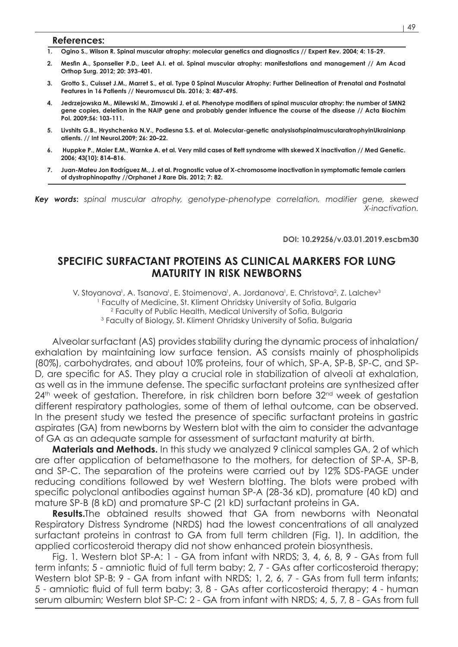## **References:**

- **1. Ogino S., Wilson R. Spinal muscular atrophy: molecular genetics and diagnostics // Expert Rev. 2004; 4: 15-29.**
- **2. Mesfin A., Sponseller P.D., Leet A.I. et al. Spinal muscular atrophy: manifestations and management // Am Acad Orthop Surg. 2012; 20: 393-401.**
- **3. Grotto S., Cuisset J.M., Marret S., et al. Type 0 Spinal Muscular Atrophy: Further Delineation of Prenatal and Postnatal Features in 16 Patients // Neuromuscul Dis. 2016; 3: 487-495.**
- **4. Jedrzejowska M., Milewski M., Zimowski J. et al. Phenotype modifiers of spinal muscular atrophy: the number of SMN2 gene copies, deletion in the NAIP gene and probably gender influence the course of the disease // Acta Biochim Pol. 2009;56: 103-111.**
- **5. Livshits G.B., Hryshchenko N.V., Podlesna S.S. et al. Molecular-genetic analysisofspinalmuscularatrophyinUkrainianp atients. // Int Neurol.2009; 26: 20–22.**
- **6. Huppke P., Maier E.M., Warnke A. et al. Very mild cases of Rett syndrome with skewed X inactivation // Med Genetic. 2006; 43(10): 814–816.**
- **7. Juan-Mateu Jon Rodríguez M., J. et al. Prognostic value of X-chromosome inactivation in symptomatic female carriers of dystrophinopathy //Orphanet J Rare Dis. 2012; 7: 82.**

*Key words***:** *spinal muscular atrophy, genotype-phenotype correlation, modifier gene, skewed X-inactivation.*

**DOI: 10.29256/v.03.01.2019.escbm30**

## **SPECIFIC SURFACTANT PROTEINS AS CLINICAL MARKERS FOR LUNG MATURITY IN RISK NEWBORNS**

V. Stoyanova<sup>1</sup>, A. Tsanova<sup>1</sup>, E. Stoimenova<sup>1</sup>, A. Jordanova<sup>1</sup>, E. Christova<sup>2</sup>, Z. Lalchev<sup>3</sup> Faculty of Medicine, St. Kliment Ohridsky University of Sofia, Bulgaria Faculty of Public Health, Medical University of Sofia, Bulgaria Faculty of Biology, St. Kliment Ohridsky University of Sofia, Bulgaria

Alveolar surfactant (AS) provides stability during the dynamic process of inhalation/ exhalation by maintaining low surface tension. AS consists mainly of phospholipids (80%), carbohydrates, and about 10% proteins, four of which, SP-A, SP-B, SP-C, and SP-D, are specific for AS. They play a crucial role in stabilization of alveoli at exhalation, as well as in the immune defense. The specific surfactant proteins are synthesized after  $24<sup>th</sup>$  week of gestation. Therefore, in risk children born before  $32<sup>nd</sup>$  week of gestation different respiratory pathologies, some of them of lethal outcome, can be observed. In the present study we tested the presence of specific surfactant proteins in gastric aspirates (GA) from newborns by Western blot with the aim to consider the advantage of GA as an adequate sample for assessment of surfactant maturity at birth.

**Materials and Methods.** In this study we analyzed 9 clinical samples GA, 2 of which are after application of betamethasone to the mothers, for detection of SP-A, SP-B, and SP-C. The separation of the proteins were carried out by 12% SDS-PAGE under reducing conditions followed by wet Western blotting. The blots were probed with specific polyclonal antibodies against human SP-A (28-36 кD), promature (40 kD) and mature SP-B (8 kD) and promature SP-C (21 kD) surfactant proteins in GA.

**Results.**The obtained results showed that GA from newborns with Neonatal Respiratory Distress Syndrome (NRDS) had the lowest concentrations of all analyzed surfactant proteins in contrast to GA from full term children (Fig. 1). In addition, the applied corticosteroid therapy did not show enhanced protein biosynthesis.

Fig. 1. Western blot SP-A: 1 - GA from infant with NRDS; 3, 4, 6, 8, 9 - GAs from full term infants; 5 - amniotic fluid of full term baby; 2, 7 - GAs after corticosteroid therapy; Western blot SP-B: 9 - GA from infant with NRDS; 1, 2, 6, 7 - GAs from full term infants; 5 - amniotic fluid of full term baby; 3, 8 - GAs after corticosteroid therapy; 4 - human serum albumin; Western blot SP-C: 2 - GA from infant with NRDS; 4, 5, 7, 8 - GAs from full